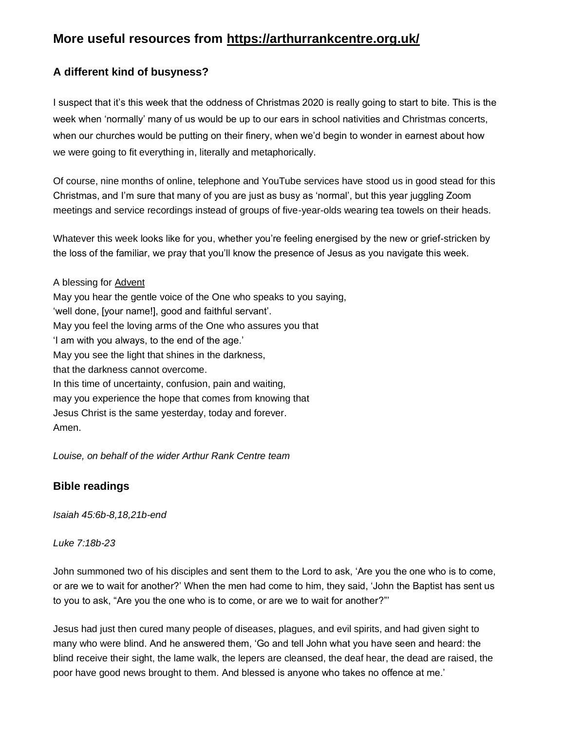# **More useful resources from https://arthurrankcentre.org.uk/**

# **A different kind of busyness?**

I suspect that it's this week that the oddness of Christmas 2020 is really going to start to bite. This is the week when 'normally' many of us would be up to our ears in school nativities and Christmas concerts, when our churches would be putting on their finery, when we'd begin to wonder in earnest about how we were going to fit everything in, literally and metaphorically.

Of course, nine months of online, telephone and YouTube services have stood us in good stead for this Christmas, and I'm sure that many of you are just as busy as 'normal', but this year juggling Zoom meetings and service recordings instead of groups of five-year-olds wearing tea towels on their heads.

Whatever this week looks like for you, whether you're feeling energised by the new or grief-stricken by the loss of the familiar, we pray that you'll know the presence of Jesus as you navigate this week.

A blessing for [Advent](https://arthurrankcentre.cmail20.com/t/i-l-mtldjut-zdkirjjdk-y/) May you hear the gentle voice of the One who speaks to you saying, 'well done, [your name!], good and faithful servant'. May you feel the loving arms of the One who assures you that 'I am with you always, to the end of the age.' May you see the light that shines in the darkness, that the darkness cannot overcome. In this time of uncertainty, confusion, pain and waiting, may you experience the hope that comes from knowing that Jesus Christ is the same yesterday, today and forever. Amen.

*Louise, on behalf of the wider Arthur Rank Centre team*

# **Bible readings**

*Isaiah 45:6b-8,18,21b-end*

*Luke 7:18b-23*

John summoned two of his disciples and sent them to the Lord to ask, 'Are you the one who is to come, or are we to wait for another?' When the men had come to him, they said, 'John the Baptist has sent us to you to ask, "Are you the one who is to come, or are we to wait for another?"'

Jesus had just then cured many people of diseases, plagues, and evil spirits, and had given sight to many who were blind. And he answered them, 'Go and tell John what you have seen and heard: the blind receive their sight, the lame walk, the lepers are cleansed, the deaf hear, the dead are raised, the poor have good news brought to them. And blessed is anyone who takes no offence at me.'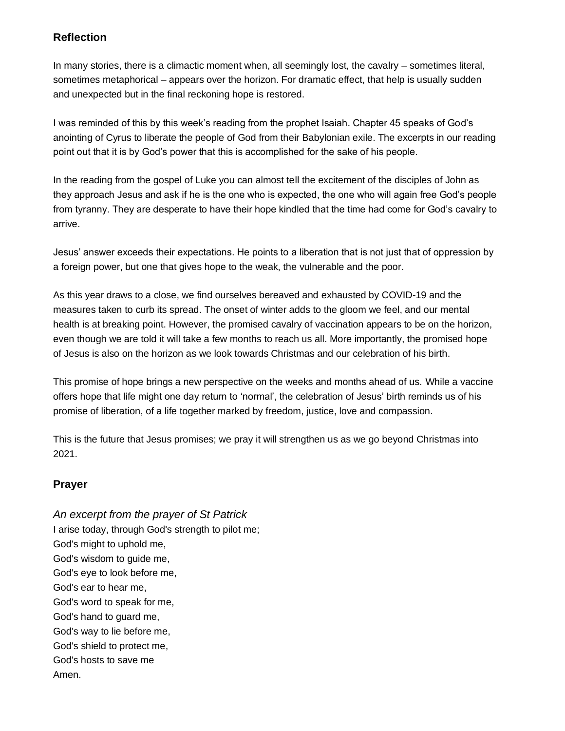# **Reflection**

In many stories, there is a climactic moment when, all seemingly lost, the cavalry – sometimes literal, sometimes metaphorical – appears over the horizon. For dramatic effect, that help is usually sudden and unexpected but in the final reckoning hope is restored.

I was reminded of this by this week's reading from the prophet Isaiah. Chapter 45 speaks of God's anointing of Cyrus to liberate the people of God from their Babylonian exile. The excerpts in our reading point out that it is by God's power that this is accomplished for the sake of his people.

In the reading from the gospel of Luke you can almost tell the excitement of the disciples of John as they approach Jesus and ask if he is the one who is expected, the one who will again free God's people from tyranny. They are desperate to have their hope kindled that the time had come for God's cavalry to arrive.

Jesus' answer exceeds their expectations. He points to a liberation that is not just that of oppression by a foreign power, but one that gives hope to the weak, the vulnerable and the poor.

As this year draws to a close, we find ourselves bereaved and exhausted by COVID-19 and the measures taken to curb its spread. The onset of winter adds to the gloom we feel, and our mental health is at breaking point. However, the promised cavalry of vaccination appears to be on the horizon, even though we are told it will take a few months to reach us all. More importantly, the promised hope of Jesus is also on the horizon as we look towards Christmas and our celebration of his birth.

This promise of hope brings a new perspective on the weeks and months ahead of us. While a vaccine offers hope that life might one day return to 'normal', the celebration of Jesus' birth reminds us of his promise of liberation, of a life together marked by freedom, justice, love and compassion.

This is the future that Jesus promises; we pray it will strengthen us as we go beyond Christmas into 2021.

# **Prayer**

*An excerpt from the prayer of St Patrick* I arise today, through God's strength to pilot me; God's might to uphold me, God's wisdom to guide me, God's eye to look before me, God's ear to hear me, God's word to speak for me, God's hand to guard me, God's way to lie before me, God's shield to protect me, God's hosts to save me Amen.